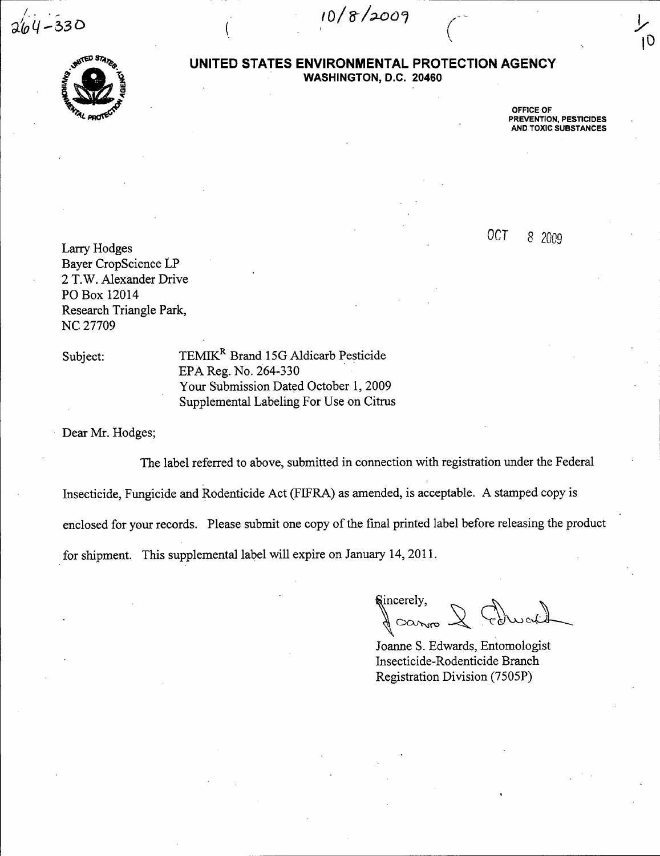$2/44 - 330$ 

 $10/8/2009$ 

 $\bigg($ 



### **UNITED STATES ENVIRONMENTAL PROTECTION AGENCY WASHINGTON,** D.C. **20460**

OFFICE OF PREVENTION, PESTICIDES AND TOXIC SUBSTANCES  $10$ 

*OCT* 8 2009

Larry Hodges Bayer CropScience LP 2 T.W. Alexander Drive PO Box 12014 Research Triangle Park, NC 27709

Subject: TEMIK<sup>R</sup> Brand 15G Aldicarb Pesticide EPA Reg. No. 264-330 Your Submission Dated October 1,2009 Supplemental Labeling For Use on Citrus

Dear Mr. Hodges;

The label referred to above, submitted in connection with registration under the Federal Insecticide, Fungicide and Rodenticide Act (FIFRA) as amended, is acceptable. A stamped copy is enclosed for Y0ur records. Please submit one copy of the fmal printed label before releasing the product for shipment. This supplemental label will expire on January 14,2011.

 $\delta$ incerely,  $\alpha_{\rm vmo}$ 

Joanne S. Edwards, Entomologist Insecticide-Rodenticide Branch Registration Division (7505P)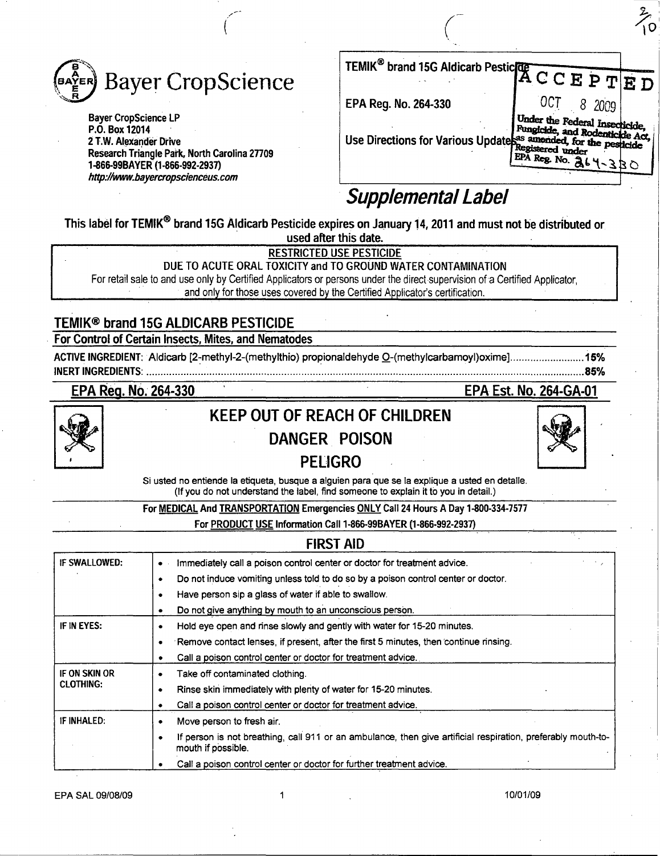

Bayer CropScience LP P.O. Box 12014 2 T.W. Alexander Drive Research Triangle Park, North Carolina 27709 1-866-99BAYER (1-866-992-2937) http://www.bayercropscienceus.com

| TEMIK <sup>®</sup> brand 15G Aldicarb Pestic <sup>10</sup> A C C E P T E D                                                                              |            |  |
|---------------------------------------------------------------------------------------------------------------------------------------------------------|------------|--|
| EPA Reg. No. 264-330                                                                                                                                    | OCT 8 2009 |  |
| Use Directions for Various Updates as an<br>entitle Act, for the periodic Act of the periodic state of the periodic<br>EPA Reg. No. $\frac{3}{6}k + 33$ |            |  |

# Supplemental Label

This label for TEMIK<sup>®</sup> brand 15G Aldicarb Pesticide expires on January 14, 2011 and must not be distributed or used after this date.

<u>RESTRICTED USE PESTICIDE</u>

DUE TO ACUTE ORAL TOXICITY and TO GROUND WATER CONTAMINATION

For retail sale to and use only by Certified Applicators or persons under the direct supervision of a Certified Applicator, and only for those uses covered by the Certified Applicator's certification.

# TEMIK® brand 15G AlDICARB PESTICIDE

For Control of Certain Insects, Mites, and Nematodes

ACTIVE INGREDIENT:Aldicarb [2~methyl-2-(methylthio) propion aldehyde O-(methylcarbamoyl)oxime] .......................... 15% INERT INGREDIENTS: ................................................................. . ....................................................................................... 85%

EPA Reg. No. 264-330 EPA Est. No. 2S4-GA-01

 $\mathbb{X}$ 



# **KEEP OUT OF REACH OF CHILDREN**

# DANGER POISON



Si usted no entiende la etiqueta, busque a alguien para que se la explique a usted en detalle. (If you do not understand the label, find someone to explain it to you in detail.)

For MEDICAL And TRANSPORTATION Emergencies ONLY Call 24 Hours A Day 1-800-334-7577

For PRODUCT USE Information Call 1-866-99BAYER (1-866-992-2937)

|                                   | <b>FIRST AID</b>                                                                                                                   |
|-----------------------------------|------------------------------------------------------------------------------------------------------------------------------------|
| IF SWALLOWED:                     | Immediately call a poison control center or doctor for treatment advice.<br>$\bullet$                                              |
|                                   | Do not induce vomiting unless told to do so by a poison control center or doctor.<br>٠                                             |
|                                   | Have person sip a glass of water if able to swallow.<br>٠                                                                          |
|                                   | Do not give anything by mouth to an unconscious person.<br>٠                                                                       |
| IF IN EYES:                       | Hold eye open and rinse slowly and gently with water for 15-20 minutes.<br>٠                                                       |
|                                   | Remove contact lenses, if present, after the first 5 minutes, then continue rinsing.<br>٠                                          |
|                                   | Call a poison control center or doctor for treatment advice.<br>٠                                                                  |
| IF ON SKIN OR<br><b>CLOTHING:</b> | Take off contaminated clothing.<br>٠                                                                                               |
|                                   | Rinse skin immediately with plenty of water for 15-20 minutes.<br>٠                                                                |
|                                   | Call a poison control center or doctor for treatment advice.                                                                       |
| IF INHALED:                       | Move person to fresh air.<br>٠                                                                                                     |
|                                   | If person is not breathing, call 911 or an ambulance, then give artificial respiration, preferably mouth-to-<br>mouth if possible. |
|                                   | Call a poison control center or doctor for further treatment advice.                                                               |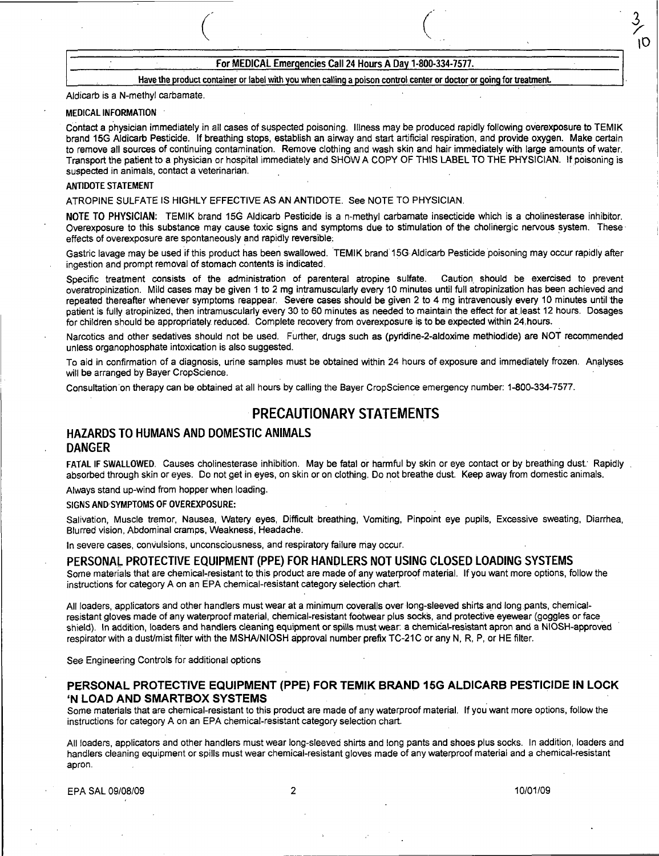### For MEDICAL Emergencies Call 24 Hours A Day 1-800-334-7577.

 $($ 

#### Have the product container or label with you when calling a poison control.center or doctor or going for treatment.

#### Aldicarb is a N-methyl carbamate.

#### MEDICAL INFORMATION

Contact a physician immediately in all cases of suspected poisoning. Illness may be produced rapidly following overexposure to TEMIK brand 15G Aldicarb Pesticide. If breathing stops, establish an airway and start artificial respiration, and provide oxygen. Make certain to remove all sources of continuing contamination. Remove clothing and wash skin and hair immediately with large amounts of water. Transport the patient to a physician or hospital immediately and SHOW A COpy OF THIS LABEL TO THE PHYSICIAN. If poisoning is suspected in animals, contact a veterinarian.

#### ANTIDOTE STATEMENT

ATROPINE SULFATE IS HIGHLY EFFECTIVE AS AN ANTIDOTE. See NOTE TO PHYSICIAN.

NOTE TO PHYSICIAN: TEMIK brand 15G Aldicarb Pesticide is a n-methyl carbamate insecticide which is a cholinesterase inhibitor. Overexposure to this substance may cause toxic signs and symptoms due to stimulation of the cholinergic nervous system. These effects of overexposure are spontaneously and rapidly reversible: .

Gastric lavage may be used if this product has been swallowed. TEMIK brand 15G Aldicarb Pesticide poisoning may occur rapidly after ingestion and prompt removal of stomach contents is indicated.

Specific treatment consists of the administration of parenteral atropine sulfate. Caution. should be exercised to prevent overatropinization. Mild cases may be given 1 to 2 mg intramuscularly every 10 minutes until full atropinization has been achieved and repeated thereafter whenever symptoms reappear. Severe cases should be given 2 to 4 mg intravenously every 10 minutes until the patient is fully atropinized, then intramuscularly every 30 to 60 minutes as needed to maintain the effect for at least 12 hours. Dosages for children should be appropriately reduced. Complete recovery from overexposure is to be expected within 24.hours.

Narcotics and other sedatives should not be used. Further, drugs such as (pyridine-2-aldoxime methiodide) are NOT recommended unless organophosphate intoxication is also suggested.

To aid in confirmation of a diagnosis, urine samples must be obtained within 24 hours of exposure and immediately frozen. Analyses will be arranged by Bayer CropScience.

Consultation on therapy can be obtained at all hours by calling the Bayer CropScience emergency number: 1-800-334-7577.

# PRECAUTIONARY STATEMENTS

## HAZARDS TO HUMANS AND DOMESTIC ANIMALS DANGER

FATAL IF SWALLOWED. Causes cholinesterase inhibition. May be fatal or harmful by skin or eye contact or by breathing dust: Rapidly absorbed through skin or eyes. Do not get in eyes, on skin or on clothing. Do not breathe dust. Keep away from domestic animals.

Always stand up-wind from hopper when loading.

#### SIGNS AND SYMPTOMS OF OVEREXPOSURE:

Salivation, Muscle tremor, Nausea, Watery eyes, Difficult breathing, Vomiting, Pinpoint eye pupils, Excessive sweating, Diarrhea, Blurred vision, Abdominal cramps, Weakness, Headache.

In severe cases, convulsions, unconsciousness, and respiratory failure may occur.

### PERSONAL PROTECTIVE EQUIPMENT (PPE) FOR HANDLERS NOT USING CLOSED LOADING SYSTEMS

Some materials that are chemical-resistant to this product are made of any waterproof material. If you want more options, follow the instructions for category A on an EPA chemical-resistant category selection chart.

All loaders, applicators and other handlers must wear at a minimum coveralls overlong-sleeved shirts and long pants, chemicalresistant gloves made of any waterproof material, chemical-resistant footwear plus socks, and protective eyewear (goggles or face shield). In addition, loaders and handlers cleaning equipment or spills must wear: a chemical-resistant apron and a NIOSH-approved respirator with a dust/mist filter with the MSHA/NIOSH approval number prefix TC-21C or any N, R, P, or HE filter.

See Engineering Controls for additional options

#### PERSONAL PROTECTIVE EQUIPMENT (PPE) FOR TEMIK BRAND 15G ALDICARB PESTICIDE IN LOCK 'N LOAD AND SMARTBOX SYSTEMS

Some materials that are chemical-resistant to this product are made of any waterproof material. If you want more options, follow the instructions for category A on an EPA chemical-resistant category selection chart.

All loaders, applicators and other handlers must wear long-sleeved shirts and long pants and shoes plus socks. In addition, loaders and handlers cleaning equipment or spills must wear chemical-resistant gloves made of any waterproof material and a chemical-resistant apron.

EPA SAL 09/08/09 2 10/01/09

١Ò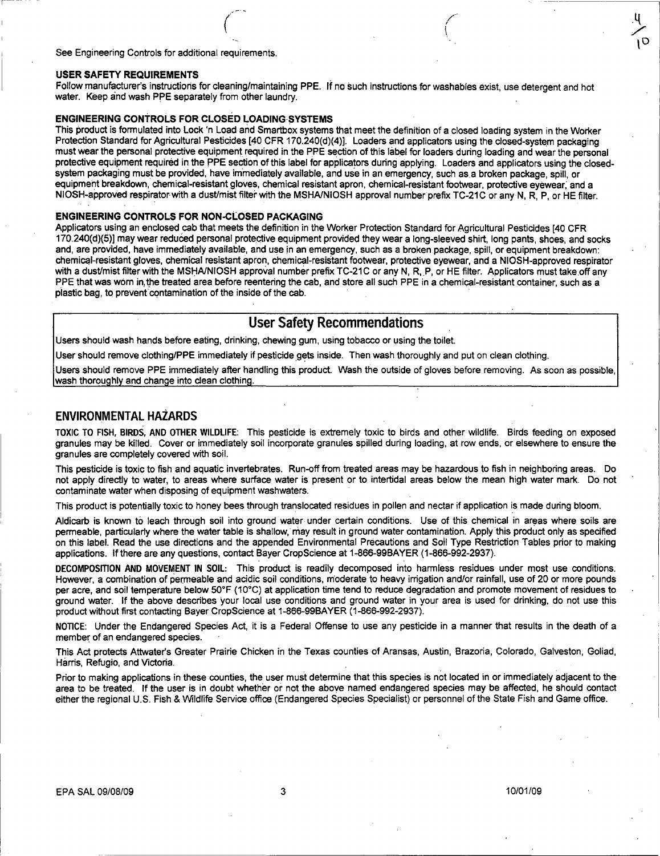See Engineering Controls for additional requirements.

#### USER SAFETY REQUIREMENTS

Follow manufacturer's instructions for cleaning/maintaining PPE. If no such instructions for washables exist, use detergent and hot water. Keep and wash PPE separately from other laundry.

(  $\mathbf{r}$ 

#### ENGINEERING CONTROLS FOR CLOSED LOADING·SYSTEMS

 $\bigg($ 

This product is formulated into Lock 'n Load and Smartbox systems that meet the definition of a closed loading system in the Worker Protection Standard for Agricultural Pesticides [40 CFR 170.240(d)(4)]. Loaders and applicators using the closed-system packaging must wear the personal protective equipment required in the PPE section of this label for loaders during loading and wear the personal protective equipment required in the PPE section of this label for applicators during applying. Loaders and applicators using the closedsystem packaging must be provided, have immediately available, and use in an emergency, such as a broken package, spill, or equipment breakdown, chemical-resistant gloves, chemical resistant apron, chemical-resistant footwear, protective eyewear; and a NIOSH-approved respirator with a dust/mist filter with the MSHA/NIOSH approval number prefix TC-21C or any N, R, P, or HE filter.

#### ENGINEERING CONTROLS FOR NON-CLoSED PACKAGING

Applicators using an enclosed cab that meets the definition in the Worker Protection Standard for Agricultural Pesticides [40 CFR 170.240(d)(5)] may wear reduced personal protective equipment provided they wear a long-sleeved shirt, long pants, shoes, and socks and, are provided, have immediately available, and use in an emergency, such as a broken package, spill, or equipment breakdown: chemi~l-resistant gloves, chemical resistant apron, chemical-resistant footwear, protective eyewear, and a NIOSH-approved respirator with a dust/mist filter with the MSHA/NIOSH approval number prefix TC-21C or any N, R, P, or HE filter. Applicators must take off any PPE that was worn in, the treated area before reentering the cab, and store all such PPE in a chemical-resistant container, such as a plastic bag, to prevent contamination of the inside of the cab.

# User Safety Recommendations

Users should wash hands before eating, drinking, chewing gum, using tobacco or using the toilet.

User should remove clothing/PPE immediately if pesticide gets inside. Then wash thoroughly and put on clean clothing.

Users should remove PPE immediately after handling this product. Wash the outside of gloves before removing. As soon as possible, wash thoroughly and change into clean clothing.

### ENVIRONMENTAL HAZARDS

TOXIC TO FISH, BIRDS, AND OTHER WILDLIFE: This pesticide is extremely toxic to birds and other wildlife. Birds feeding on exposed granules may be killed. Cover or immediately soil incorporate granules spilled during loading, at row ends, or elsewhere to ensure the granules are completely covered with soil.

This pesticide is toxic to fish and aquatic invertebrates. Run-off from treated areas may be hazardous to fish in neighboring areas. Do not apply directly to water, to areas where surface water is present or to intertidal areas below the mean high water mark. Do not contaminate water when disposing of equipment washwaters.

This product is potentially toxic to honey bees through translocated residues in pollen and nectar if application is made during bloom.

Aldicarb is known to leach through soil into ground water under certain conditions. Use of this chemical in areas where soils are permeable, particularly where the water table is shallow,' may result in ground water contamination. Apply this product only as specified on this label. Read the use directions and the appended Environmental Precautions and Soil Type Restriction Tables prior to making applications. If there are any questions, contact Bayer CropScience at 1-866-99BAYER (1-866-992-2937).

DECOMPOSITION AND MOVEMENT IN SOIL: This product is readily decomposed into harmless residues under most use conditions. However, a combination of permeable and acidic soil conditions, moderate to heavy irrigation and/or rainfall, use of 20 or more pounds per acre, and soil temperature below 50°F (10°C) at application time tend to reduce degradation and promote movement of residues to ground water. If the above describes your local use conditions and ground water in your area is used for drinking, do not use this product without first contacting Bayer CropScience at 1-866-99BAYER (1-866-992-2937).

NOnCE: Under the Endangered Species Act, it is a Federal Offense to use any pesticide in a manner that results in the death of a member of an endangered species.

This Act protects Attwater's Greater Prairie Chicken in the Texas counties of Aransas, Austin, Brazoria, Colorado, Galveston, Goliad, Harris, Refugio, and Victoria.

Prior to making applications in these counties, the user must determine that this species is not located in or immediately adjacent to the area to be treated. If the user is in doubt whether or not the above named endangered species may be affected, he should contact either the regional U.S. Fish & Wildlife Service office (Endangered Species Specialist) or personnel of the State Fish and Game office.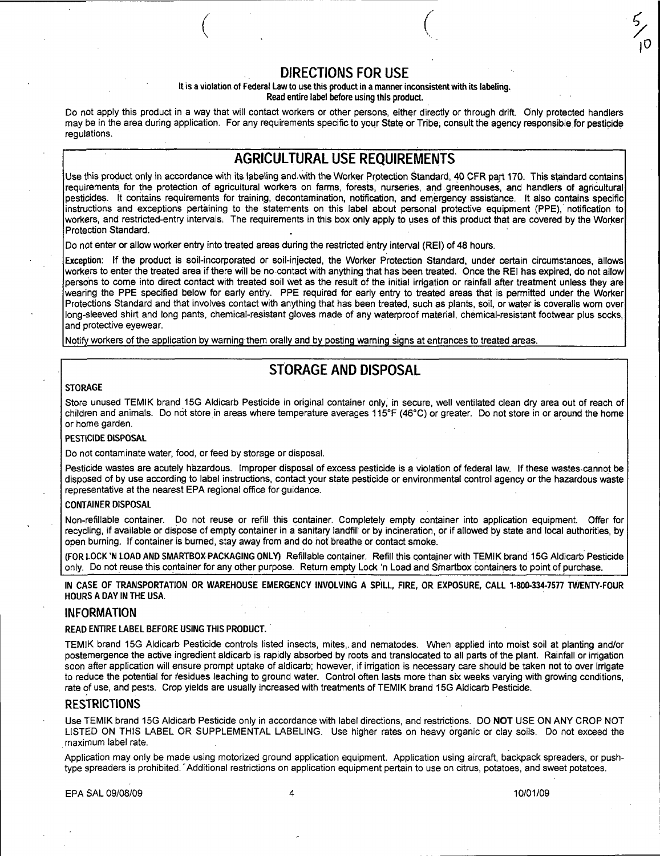# DIRECTIONS FOR USE

 $($ 

#### It is a violation of Federal Law to use this product in a manner inconsistent with its labeling. Read entire label before using this product.

Do not apply this product in a way that will contact workers or other persons, either directly or through drift. Only protected handlers may be in the area during application. For any requirements specific to your State or Tribe, consult the agency responsible for pesticide requiations.

# AGRICULTURAL USE REQUIREMENTS

Use this product only in accordance with its labeling and with the Worker Protection Standard, 40 CFR part 170. This standard contains requirements for the protection of agricultural workers on farms, forests, nurseries, and greenhouses, and handlers of agricultural pesticides. It contains requirements for training, decontamination, notification, and emergency assistance. It also contains specific instructions and exceptions pertaining to the statements on this label about personal protective equipment (PPE), notification to workers, and restricted-entry intervals, The requirements in this box only apply to uses of this product that are covered by the Worker Protection Standard.

Do not enter or allow worker entry into treated areas during the restricted entry interval (REI) of 48 hours.

Exception: If the product is soil-incorporated or soil-injected, the Worker Protection Standard, under certain circumstances, allows workers to enter the treated area if there will be no contact with anything that has been treated. Once the REI has expired, do not allow persons to come into direct contact with treated soil wet as the result of the initial irrigation or rainfall after treatment unless they are wearing the PPE specified below for early entry. PPE required for early entry to treated areas that is permitted under the Worker Protections Standard and that involves contact with anything that has been treated, such as plants, soil, or water is coveralls worn over long-sleeved shirt and long pants, chemical-resistant gloves made of any waterproof material, chemical-resistant footwear plus socks, and protective eyewear.

Notify workers of the application by warning them orally and by posting warning signs at entrances to treated areas.

# STORAGE AND DISPOSAL

#### **STORAGE**

Store unused TEMIK brand 15G Aldicarb Pesticide in original container only; in secure, well ventilated clean dry area out of reach of children and animals. Do not store in areas where temperature averages 115°F (46°C) or greater. Do not store in or around the home or home garden.

#### PESTICIDE DISPOSAL

Do not contaminate water, food, or feed by storage or disposal.

Pesticide wastes are acutely hazardous. Improper disposal of excess pesticide is a violation of federal law. If these wastes·cannot be disposed of by use according to label instructions, contact your state pesticide or environmental control agency or the hazardous waste representative at the nearest EPA regional office for guidance.

#### CONTAINER DISPOSAL

Non-refillable container. Do not reuse or refill this container. Completely empty container into application equipment. Offer for recycling, if available or dispose of empty container in a sanitary landfill or by incineration, or if allowed py state and local authorities, by open burning. If container is burned, stay away from and do not breathe or contact smoke.

(FOR LOCK 'N LOAD AND SMARTBOX PACKAGING ONl V) Refillable container. Refill this container with TEMIK brand 15G Aldicarb Pesticide only. Do not reuse this container for any other purpose. Return empty Lock 'n Load and Smartbox containers to point of purchase.

IN CASE OF TRANSPORTATION OR WAREHOUSE EMERGENCY INVOLVING A SPILL, FIRE, OR EXPOSURE, CALL 1-800-334-7577 TWENTY-FOUR HOURS A DAY IN THE USA.

#### INFORMATION

READ ENTIRE LABEL BEFORE USING THIS PRODUCT.

TEMIK brand 15G Aldicarb Pesticide controls listed insects, mites,. and nematodes. When applied into moist soil at planting and/or postemergence the active ingredient aldicarb is rapidly absorbed by roots and translocated to all parts of the plant. Rainfall or irrigation soon after application will ensure prompt uptake of aldicarb; however, if irrigation is necessary care should be taken not to over irrigate to reduce the potential for residues leaching to ground water. Control often lasts more than six weeks varying with growing conditions, rate of use, and pests. Crop yields are usually increased with treatments of TEMIK brand 15G Aldicarb Pesticide.

#### **RESTRICTIONS**

Use TEMIK brand 15G Aldicarb Pesticide only in accordance with label directions, and restrictions. DO NOT USE ON ANY CROP NOT LISTED ON THIS LABEL OR SUPPLEMENTAL LABELING. Use higher rates on heavy organic or clay soils. Do not exceed the maximum label rate.

Application may only be made using motorized ground application equipment. Application using aircraft, backpack spreaders, or pushtype spreaders is prohibited. Additional restrictions on application equipment pertain to use on citrus, potatoes, and sweet potatoes.

EPA SAL 09/08/09 4 10101/09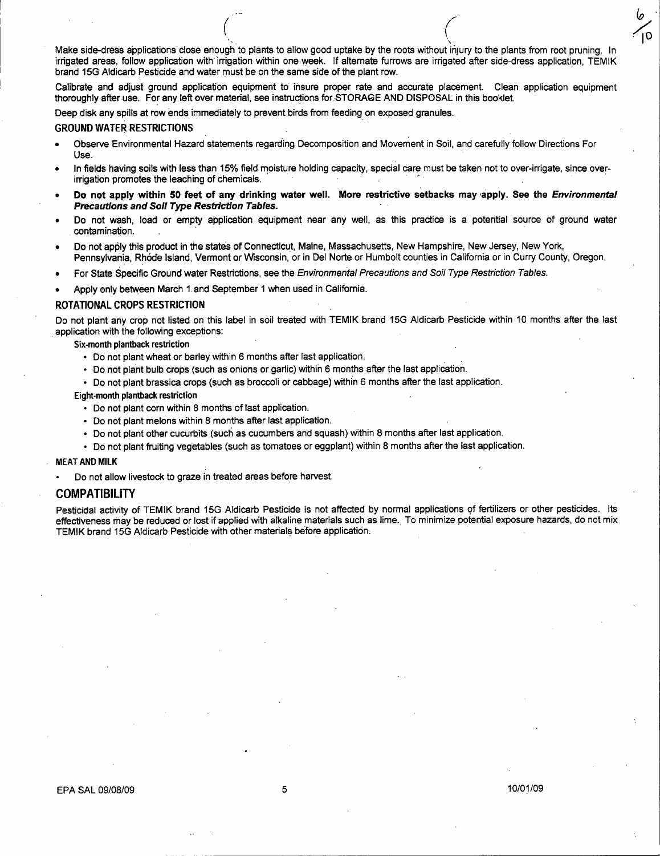Make side-dress applications close enough to plants to allow good uptake by the roots without injury to the plants from root pruning. In irrigated areas, follow application with irrigation within one week. If alternate furrows are irrigated after side-dress application, TEMIK brand 15G Aldicarb Pesticide and water must be on the same side of the plant row. .

 $($ 

Calibrate and adjust ground application equipment to insure proper rate and accurate placement. Clean application equipment thoroughly after use. For any left over material, see instructions for STORAGE AND DISPOSAL in this booklet.

Deep disk any spills at row ends immediately to prevent birds from feeding on exposed granules.

#### GROUND WATER RESTRICTIONS

- Observe Environmental Hazard statements regarding Decomposition and Movement in Soil, and carefully follow Directions For Use.
- In fields having soils with less than 15% field moisture holding capacity, special care must be taken not to over-irrigate, since over-<br>irrigation promotes the leaching of chemicals. Figure 2.1 . The leadstand of the leadstand of the leading of the leading of the leading of the leadings.<br>
UND WATER RESTRICTIONS<br>
Observe Environmental Hazard statements regarding Decomposition and Movement in Soil, and c
- Do not apply within 50 feet of any drinking water well. More restrictive setbacks may apply. See the *Environmental* PreCautions and Soil Type Restriction Tables.
- Do not wash, load or empty application equipment near any well, as this practice is a potential source of ground water contamination. .
- Do not apply this product in the states of Connecticut, Maine, Massachusetts, New Hampshire, New Jersey, New York, Pennsylvania, Rh6de Island, Vermont or Wisconsin, or in Del Norte or Humbolt counties in California or in Curry County, Oregon.
- For State Specific Ground water Restrictions, see the Environmental Precautions and Soil Type Restriction Tables.
- Apply only between March 1. and September 1 when used in California.

#### ROTATIONAL CROPS RESTRICTION

Do not plant any crop not listed on this label in soil treated with TEMIK brand 15G Aldicarb Pesticide within 10 months after the last application with the following exceptions:

#### Six-month plantback restriction

- Do not plant wheat or barley within 6 months after last application.
- Do not plant bulb crops (such as onions or garlic) within 6 months after the last application.
- Do not plant brassica crops (such as broccoli or cabbage) within 6 months after the last application.

#### Eight-month plantback restriction

- Do not plant corn within 8 months of last application.
- Do not plant melons within 8 months after last application.
- Do not plant other cucurbits (such as cucumbers and squash) within 8 months after last application.
- Do not plant fruiting vegetables (such as tomatoes or eggplant) within 8 months after the last application.

#### MEAT AND MILK

Do not allow livestock to graze in treated areas before harvest.

#### COMPATIBILITY

Pesticidal activity of TEMIK brand 15G Aldicarb Pesticide is not affected by normal applications of fertilizers or other pesticides. Its effectiveness may be reduced or lost if applied with alkaline materials such as lime. To minimize potential exposure hazards, do not mix TEMIK brand 15G Aldicarb Pesticide with other materials before application.

í٥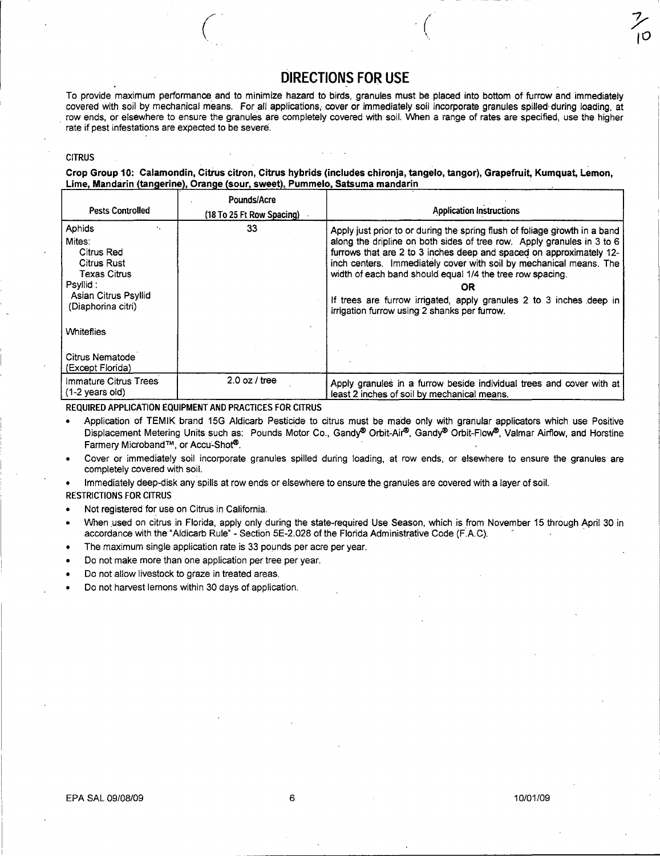# **DIRECTIONS FOR USE**

 $\left(\right)$ 

*y*  10

To provide maximum performance. and to minimize hazard to birds, granules must be placed into bottom of furrow and immediately covered with soil by mechanical means. For all applications, cover or immediately soil incorporate granules spilled during loading, at row ends, or elsewhere to ensure the granules are completely covered with soil. When a range of rates are specified, use the higher rate if pest infestations are expected to be severe.

#### **CITRUS**

Crop Group 10: Calamondin, Citrus citron, Citrus hybrids (includes chironja, tangelo, tangor), Grapefruit, Kumquat, Lemon, Lime, Mandarin (tangerine), Orange (sour, sweet), Pummelo, Satsuma mandarin

| <b>Pests Controlled</b>                                                                                                                | Pounds/Acre<br>(18 To 25 Ft Row Spacing) | <b>Application Instructions</b>                                                                                                                                                                                                                                                                                                                                                                                                                                                             |  |  |
|----------------------------------------------------------------------------------------------------------------------------------------|------------------------------------------|---------------------------------------------------------------------------------------------------------------------------------------------------------------------------------------------------------------------------------------------------------------------------------------------------------------------------------------------------------------------------------------------------------------------------------------------------------------------------------------------|--|--|
| Aphids<br>Mites:<br>Citrus Red<br><b>Citrus Rust</b><br><b>Texas Citrus</b><br>Psyllid :<br>Asian Citrus Psyllid<br>(Diaphorina citri) | 33                                       | Apply just prior to or during the spring flush of foliage growth in a band<br>along the dripline on both sides of tree row. Apply granules in 3 to 6<br>furrows that are 2 to 3 inches deep and spaced on approximately 12-<br>inch centers. Immediately cover with soil by mechanical means. The<br>width of each band should equal 1/4 the tree row spacing.<br>OR<br>If trees are furrow irrigated, apply granules 2 to 3 inches deep in<br>irrigation furrow using 2 shanks per furrow. |  |  |
| <b>Whiteflies</b>                                                                                                                      |                                          |                                                                                                                                                                                                                                                                                                                                                                                                                                                                                             |  |  |
| Citrus Nematode<br>(Except Florida)                                                                                                    |                                          |                                                                                                                                                                                                                                                                                                                                                                                                                                                                                             |  |  |
| Immature Citrus Trees<br>$(1-2 \text{ years old})$                                                                                     | $2.0$ oz / tree                          | Apply granules in a furrow beside individual trees and cover with at<br>least 2 inches of soil by mechanical means.                                                                                                                                                                                                                                                                                                                                                                         |  |  |

REQUIRED APPLICATION EQUIPMENT AND PRACTICES FOR CITRUS

- Application of TEMIK brand 15G Aldicarb Pesticide to citrus must be made only with granular applicators which use Positive Displacement Metering Units such as: Pounds Motor Co., Gandy® Orbit-Air®, Gandy® Orbit-Flow®, Valmar Airflow, and Horstine Farmery Microband™, or Accu~Shot®.
- Cover or immediately soil incorporate granules spilled during loading, at row ends, or elsewhere to ensure the granules are completely covered with soil.

• Immediately deep-disk any spills at row ends or elsewhere to ensure the granules are covered with a layer of soil.

RESTRICTIONS FOR CITRUS

- Not registered for use on Citrus in California.
- When used on citrus in Florida, apply only during the state-required Use Season, which is from November 15 through April 30 in accordance with the "Aldicarb Rule" - Section 5E-2.028 of the Florida Administrative Code (F.A.C).
- The maximum single application rate is 33 pounds per acre per year.
- Do not make more than one application per tree per year.
- Do not allow livestock to graze in treated areas.
- Do not harvest lemons within 30 days of application.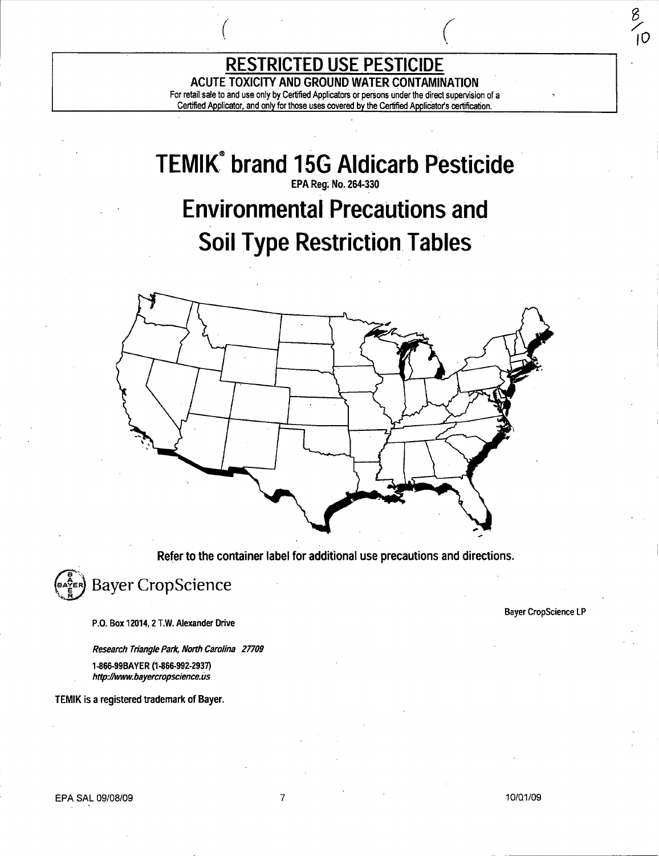ACUTE TOXICITY AND GROUND WATER CONTAMINATION<br>For retail sale to and use only by Certified Applicators or persons under the direct supervision of a Certified Applicator, and only for those uses covered by the Certified Applicator's certification.

**RESTRICTED USE PESTICIDE** 

 $($ 

# **TEMIK® brand 15G Aldicarb Pesticide**  EPA Reg; No. 264·330 Environmental Precautions **and Soil Type Restriction Tables**



Refer to the container label for additional use precautions and directions.



P.O. Box 12014, 2 T.W. Alexander Drive

Research Triangle Park, North Carolina 27709

1-866·99BAYER (1-866·992·2937) http://www.bayercropscience.us

TEMIK is a registered trademark of Bayer.

#### Bayer CropScience lP

 $\frac{8}{5}$ .<br>IO

EPA SAL 09/08/09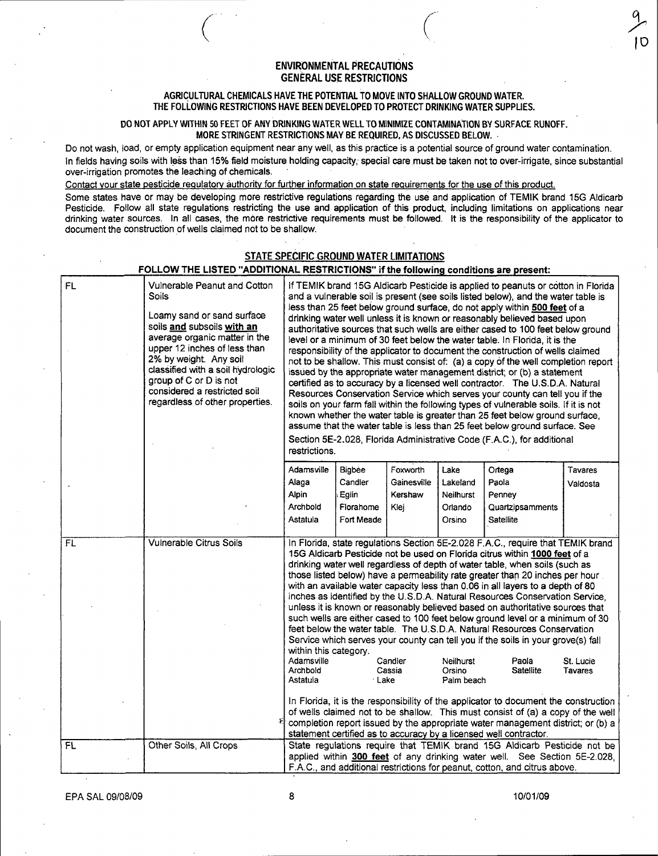### ENVIRONMENTAL PRECAUTIONS GENERAL USE RESTRICTIONS

 $\bigg($ 

#### AGRICULTURAL CHEMICALS HAVE THE POTENTIAL TO MOVE INTO SHALLOW GROUND WATER. THE FOLLOWING RESTRICTIONS HAVE BEEN DEVELOPED TO PROTECT DRINKING WATER SUPPLIES.

#### DO NOT APPLY WITHIN 50 FEET OF ANY DRINKING WATER WELL TO MINIMIZE CONTAMINATION BY SURFACE RUNOFF. MORE STRINGENT RESTRICTIONS MAY BE REQUIRED. AS DISCUSSED BELOW. .

Do not wash, load, or empty application equipment near any well, as this practice is a potential source of ground water contamination. In fields having soils with less than 15% field moisture holding capacity; special care must be taken not to over-irrigate, since substantial over-irrigation promotes the leaching of chemicals.

Contact your state pesticide regulatory authority for further information on state requirements for the use of this product.

 $\bigg($ 

Some states have or may be developing more restrictive regulations regarding the use and application of TEMIK brand 15G Aldicarb Pesticide. Follow all state regulations restricting the use and application of this product, including limitations on applications near drinking water sources. In all cases, the more restrictive requirements must be followed. It is the responsibility of the applicator to document the construction of wells claimed not to be shallow.

### STATE SPECIFIC GROUND WATER LIMITATIONS

## FOLLOW THE LISTED "ADDITIONAL RESTRICTIONS" if the following conditions are present:

| FL        | Vulnerable Peanut and Cotton<br><b>Soils</b><br>Loamy sand or sand surface<br>soils and subsoils with an<br>average organic matter in the<br>upper 12 inches of less than<br>2% by weight. Any soil<br>classified with a soil hydrologic<br>group of C or D is not<br>considered a restricted soil<br>regardless of other properties. | If TEMIK brand 15G Aldicarb Pesticide is applied to peanuts or cotton in Florida<br>and a vulnerable soil is present (see soils listed below), and the water table is<br>less than 25 feet below ground surface, do not apply within 500 feet of a<br>drinking water well unless it is known or reasonably believed based upon<br>authoritative sources that such wells are either cased to 100 feet below ground<br>level or a minimum of 30 feet below the water table. In Florida, it is the<br>responsibility of the applicator to document the construction of wells claimed<br>not to be shallow. This must consist of: (a) a copy of the well completion report<br>issued by the appropriate water management district; or (b) a statement<br>certified as to accuracy by a licensed well contractor. The U.S.D.A. Natural<br>Resources Conservation Service which serves your county can tell you if the<br>soils on your farm fall within the following types of vulnerable soils. If it is not<br>known whether the water table is greater than 25 feet below ground surface,<br>assume that the water table is less than 25 feet below ground surface. See<br>Section 5E-2.028, Florida Administrative Code (F.A.C.), for additional<br>restrictions.                    |                  |                        |                              |                                                                                                                                                        |          |
|-----------|---------------------------------------------------------------------------------------------------------------------------------------------------------------------------------------------------------------------------------------------------------------------------------------------------------------------------------------|-------------------------------------------------------------------------------------------------------------------------------------------------------------------------------------------------------------------------------------------------------------------------------------------------------------------------------------------------------------------------------------------------------------------------------------------------------------------------------------------------------------------------------------------------------------------------------------------------------------------------------------------------------------------------------------------------------------------------------------------------------------------------------------------------------------------------------------------------------------------------------------------------------------------------------------------------------------------------------------------------------------------------------------------------------------------------------------------------------------------------------------------------------------------------------------------------------------------------------------------------------------------------------------|------------------|------------------------|------------------------------|--------------------------------------------------------------------------------------------------------------------------------------------------------|----------|
|           |                                                                                                                                                                                                                                                                                                                                       | Adamsville                                                                                                                                                                                                                                                                                                                                                                                                                                                                                                                                                                                                                                                                                                                                                                                                                                                                                                                                                                                                                                                                                                                                                                                                                                                                          | Bigbee           | Foxworth               | Lake                         | Ortega                                                                                                                                                 | Tavares  |
|           |                                                                                                                                                                                                                                                                                                                                       | Alaga<br><b>Alpin</b>                                                                                                                                                                                                                                                                                                                                                                                                                                                                                                                                                                                                                                                                                                                                                                                                                                                                                                                                                                                                                                                                                                                                                                                                                                                               | Candler<br>Eglin | Gainesville<br>Kershaw | Lakeland<br><b>Neilhurst</b> | Paola<br>Penney                                                                                                                                        | Valdosta |
|           |                                                                                                                                                                                                                                                                                                                                       | Archbold                                                                                                                                                                                                                                                                                                                                                                                                                                                                                                                                                                                                                                                                                                                                                                                                                                                                                                                                                                                                                                                                                                                                                                                                                                                                            | Florahome        | Klej                   | Orlando                      | Quartzipsamments                                                                                                                                       |          |
|           |                                                                                                                                                                                                                                                                                                                                       | Astatula                                                                                                                                                                                                                                                                                                                                                                                                                                                                                                                                                                                                                                                                                                                                                                                                                                                                                                                                                                                                                                                                                                                                                                                                                                                                            | Fort Meade       |                        | Orsino                       | Satellite                                                                                                                                              |          |
|           |                                                                                                                                                                                                                                                                                                                                       |                                                                                                                                                                                                                                                                                                                                                                                                                                                                                                                                                                                                                                                                                                                                                                                                                                                                                                                                                                                                                                                                                                                                                                                                                                                                                     |                  |                        |                              |                                                                                                                                                        |          |
| FL.       | <b>Vulnerable Citrus Soils</b>                                                                                                                                                                                                                                                                                                        | In Florida, state regulations Section 5E-2.028 F.A.C., require that TEMIK brand<br>15G Aldicarb Pesticide not be used on Florida citrus within 1000 feet of a<br>drinking water well regardless of depth of water table, when soils (such as<br>those listed below) have a permeability rate greater than 20 inches per hour<br>with an available water capacity less than 0.06 in all layers to a depth of 80<br>inches as identified by the U.S.D.A. Natural Resources Conservation Service,<br>unless it is known or reasonably believed based on authoritative sources that<br>such wells are either cased to 100 feet below ground level or a minimum of 30<br>feet below the water table. The U.S.D.A. Natural Resources Conservation<br>Service which serves your county can tell you if the soils in your grove(s) fall<br>within this category.<br>Adamsville<br>Candler<br>Neilhurst<br>Paola<br>St. Lucie<br>Archbold<br>Cassia<br>Satellite<br><b>Tavares</b><br>Orsino<br>Astatula<br>∙Lake<br>Palm beach<br>In Florida, it is the responsibility of the applicator to document the construction<br>of wells claimed not to be shallow. This must consist of (a) a copy of the well<br>completion report issued by the appropriate water management district; or (b) a |                  |                        |                              |                                                                                                                                                        |          |
| <b>FL</b> | Other Soils, All Crops                                                                                                                                                                                                                                                                                                                |                                                                                                                                                                                                                                                                                                                                                                                                                                                                                                                                                                                                                                                                                                                                                                                                                                                                                                                                                                                                                                                                                                                                                                                                                                                                                     |                  |                        |                              | statement certified as to accuracy by a licensed well contractor.<br>State regulations require that TEMIK brand 15G Aldicarb Pesticide not be          |          |
|           |                                                                                                                                                                                                                                                                                                                                       |                                                                                                                                                                                                                                                                                                                                                                                                                                                                                                                                                                                                                                                                                                                                                                                                                                                                                                                                                                                                                                                                                                                                                                                                                                                                                     |                  |                        |                              | applied within 300 feet of any drinking water well. See Section 5E-2.028,<br>F.A.C., and additional restrictions for peanut, cotton, and citrus above. |          |

EPA SAL 09/08/09